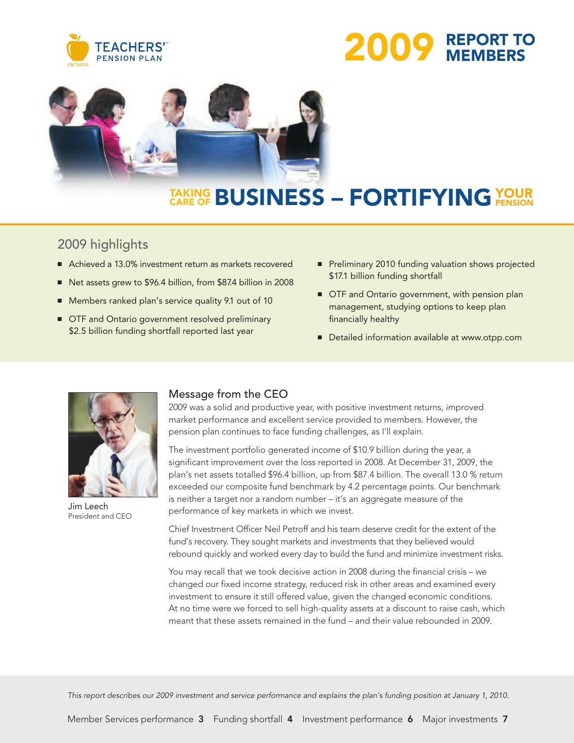





# **TAKING CARE OF BUSINESS – YOUR FORTIFYINGPENSION**

### 2009 highlights

- Achieved a 13.0% investment return as markets recovered
- **■** Net assets grew to \$96.4 billion, from \$87.4 billion in 2008
- Members ranked plan's service quality 9.1 out of 10
- OTF and Ontario government resolved preliminary \$2.5 billion funding shortfall reported last year
- Preliminary 2010 funding valuation shows projected \$17.1 billion funding shortfall
- OTF and Ontario government, with pension plan management, studying options to keep plan financially healthy
- **■** Detailed information available at www.otpp.com



Jim Leech President and CEO

### Message from the CEO

2009 was a solid and productive year, with positive investment returns, improved market performance and excellent service provided to members. However, the pension plan continues to face funding challenges, as I'll explain.

The investment portfolio generated income of \$10.9 billion during the year, a significant improvement over the loss reported in 2008. At December 31, 2009, the plan's net assets totalled \$96.4 billion, up from \$87.4 billion. The overall 13.0 % return exceeded our composite fund benchmark by 4.2 percentage points. Our benchmark is neither a target nor a random number – it's an aggregate measure of the performance of key markets in which we invest.

Chief Investment Officer Neil Petroff and his team deserve credit for the extent of the fund's recovery. They sought markets and investments that they believed would rebound quickly and worked every day to build the fund and minimize investment risks.

You may recall that we took decisive action in 2008 during the financial crisis – we changed our fixed income strategy, reduced risk in other areas and examined every investment to ensure it still offered value, given the changed economic conditions. At no time were we forced to sell high-quality assets at a discount to raise cash, which meant that these assets remained in the fund – and their value rebounded in 2009.

This report describes our 2009 investment and service performance and explains the plan's funding position at January 1, 2010.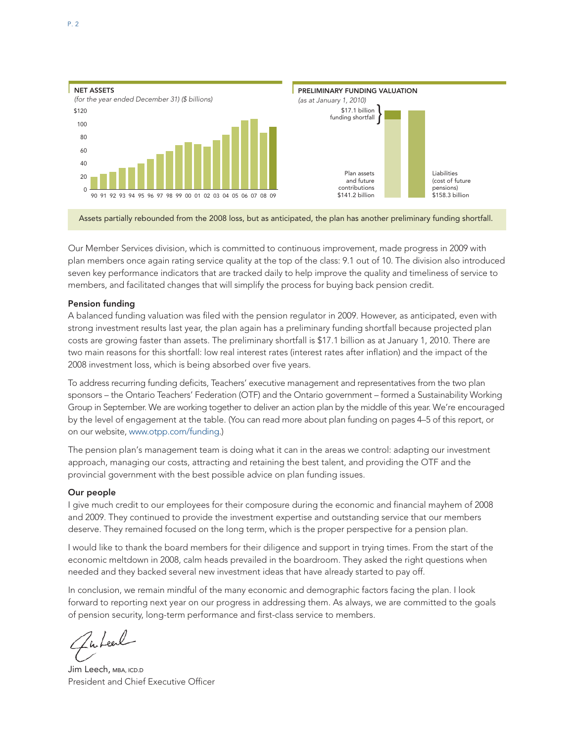

Assets partially rebounded from the 2008 loss, but as anticipated, the plan has another preliminary funding shortfall.

Our Member Services division, which is committed to continuous improvement, made progress in 2009 with plan members once again rating service quality at the top of the class: 9.1 out of 10. The division also introduced seven key performance indicators that are tracked daily to help improve the quality and timeliness of service to members, and facilitated changes that will simplify the process for buying back pension credit.

### Pension funding

A balanced funding valuation was filed with the pension regulator in 2009. However, as anticipated, even with strong investment results last year, the plan again has a preliminary funding shortfall because projected plan costs are growing faster than assets. The preliminary shortfall is \$17.1 billion as at January 1, 2010. There are two main reasons for this shortfall: low real interest rates (interest rates after inflation) and the impact of the 2008 investment loss, which is being absorbed over five years.

To address recurring funding deficits, Teachers' executive management and representatives from the two plan sponsors – the Ontario Teachers' Federation (OTF) and the Ontario government – formed a Sustainability Working Group in September. We are working together to deliver an action plan by the middle of this year. We're encouraged by the level of engagement at the table. (You can read more about plan funding on pages 4–5 of this report, or on our website, www.otpp.com/funding.)

The pension plan's management team is doing what it can in the areas we control: adapting our investment approach, managing our costs, attracting and retaining the best talent, and providing the OTF and the provincial government with the best possible advice on plan funding issues.

### Our people

I give much credit to our employees for their composure during the economic and financial mayhem of 2008 and 2009. They continued to provide the investment expertise and outstanding service that our members deserve. They remained focused on the long term, which is the proper perspective for a pension plan.

I would like to thank the board members for their diligence and support in trying times. From the start of the economic meltdown in 2008, calm heads prevailed in the boardroom. They asked the right questions when needed and they backed several new investment ideas that have already started to pay off.

In conclusion, we remain mindful of the many economic and demographic factors facing the plan. I look forward to reporting next year on our progress in addressing them. As always, we are committed to the goals of pension security, long-term performance and first-class service to members.

Zuteel

Jim Leech, MBA, ICD.D President and Chief Executive Officer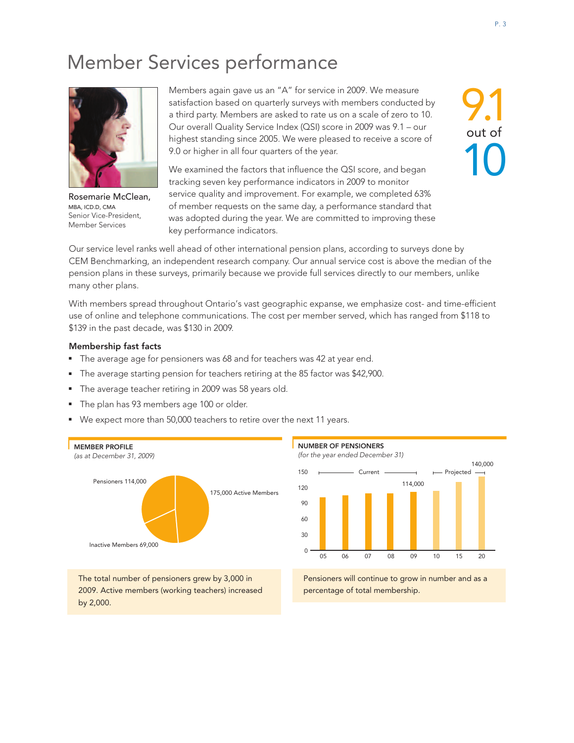## Member Services performance



Rosemarie McClean, MBA, ICD.D, CMA Senior Vice-President, Member Services

Members again gave us an "A" for service in 2009. We measure satisfaction based on quarterly surveys with members conducted by a third party. Members are asked to rate us on a scale of zero to 10. Our overall Quality Service Index (QSI) score in 2009 was 9.1 – our highest standing since 2005. We were pleased to receive a score of 9.0 or higher in all four quarters of the year.

We examined the factors that influence the QSI score, and began tracking seven key performance indicators in 2009 to monitor service quality and improvement. For example, we completed 63% of member requests on the same day, a performance standard that was adopted during the year. We are committed to improving these key performance indicators.

9.1 out of 10

Our service level ranks well ahead of other international pension plans, according to surveys done by CEM Benchmarking, an independent research company. Our annual service cost is above the median of the pension plans in these surveys, primarily because we provide full services directly to our members, unlike many other plans.

With members spread throughout Ontario's vast geographic expanse, we emphasize cost- and time-efficient use of online and telephone communications. The cost per member served, which has ranged from \$118 to \$139 in the past decade, was \$130 in 2009.

### Membership fast facts

by 2,000.

- The average age for pensioners was 68 and for teachers was 42 at year end.
- The average starting pension for teachers retiring at the 85 factor was \$42,900.
- The average teacher retiring in 2009 was 58 years old.
- The plan has 93 members age 100 or older.
- We expect more than 50,000 teachers to retire over the next 11 years.





Pensioners will continue to grow in number and as a percentage of total membership.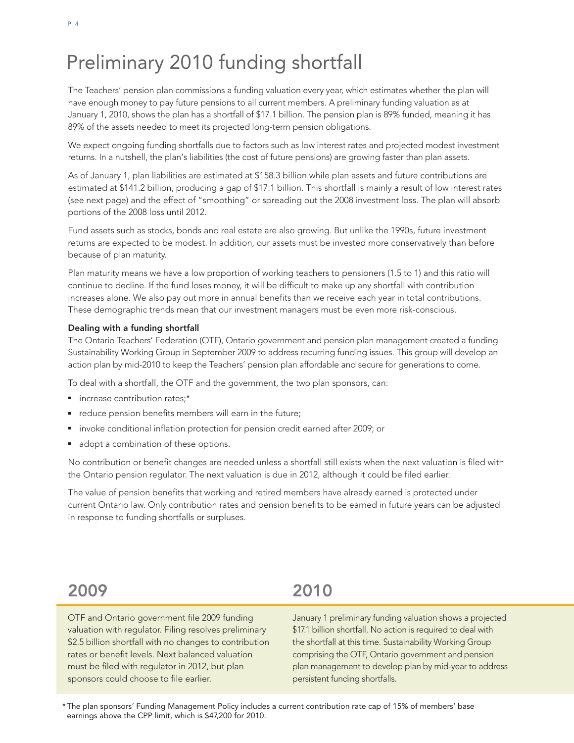## Preliminary 2010 funding shortfall

The Teachers' pension plan commissions a funding valuation every year, which estimates whether the plan will have enough money to pay future pensions to all current members. A preliminary funding valuation as at January 1, 2010, shows the plan has a shortfall of \$17.1 billion. The pension plan is 89% funded, meaning it has 89% of the assets needed to meet its projected long-term pension obligations.

We expect ongoing funding shortfalls due to factors such as low interest rates and projected modest investment returns. In a nutshell, the plan's liabilities (the cost of future pensions) are growing faster than plan assets.

As of January 1, plan liabilities are estimated at \$158.3 billion while plan assets and future contributions are estimated at \$141.2 billion, producing a gap of \$17.1 billion. This shortfall is mainly a result of low interest rates (see next page) and the effect of "smoothing" or spreading out the 2008 investment loss. The plan will absorb portions of the 2008 loss until 2012.

Fund assets such as stocks, bonds and real estate are also growing. But unlike the 1990s, future investment returns are expected to be modest. In addition, our assets must be invested more conservatively than before because of plan maturity.

Plan maturity means we have a low proportion of working teachers to pensioners (1.5 to 1) and this ratio will continue to decline. If the fund loses money, it will be difficult to make up any shortfall with contribution increases alone. We also pay out more in annual benefits than we receive each year in total contributions. These demographic trends mean that our investment managers must be even more risk-conscious.

### Dealing with a funding shortfall

The Ontario Teachers' Federation (OTF), Ontario government and pension plan management created a funding Sustainability Working Group in September 2009 to address recurring funding issues. This group will develop an action plan by mid-2010 to keep the Teachers' pension plan affordable and secure for generations to come.

To deal with a shortfall, the OTF and the government, the two plan sponsors, can:

- increase contribution rates:\*
- reduce pension benefits members will earn in the future;
- invoke conditional inflation protection for pension credit earned after 2009; or
- adopt a combination of these options.

No contribution or benefit changes are needed unless a shortfall still exists when the next valuation is filed with the Ontario pension regulator. The next valuation is due in 2012, although it could be filed earlier.

The value of pension benefits that working and retired members have already earned is protected under current Ontario law. Only contribution rates and pension benefits to be earned in future years can be adjusted in response to funding shortfalls or surpluses.

## 2009

OTF and Ontario government file 2009 funding valuation with regulator. Filing resolves preliminary \$2.5 billion shortfall with no changes to contribution rates or benefit levels. Next balanced valuation must be filed with regulator in 2012, but plan sponsors could choose to file earlier.

## 2010

January 1 preliminary funding valuation shows a projected \$17.1 billion shortfall. No action is required to deal with the shortfall at this time. Sustainability Working Group comprising the OTF, Ontario government and pension plan management to develop plan by mid-year to address persistent funding shortfalls.

\* The plan sponsors' Funding Management Policy includes a current contribution rate cap of 15% of members' base earnings above the CPP limit, which is \$47,200 for 2010.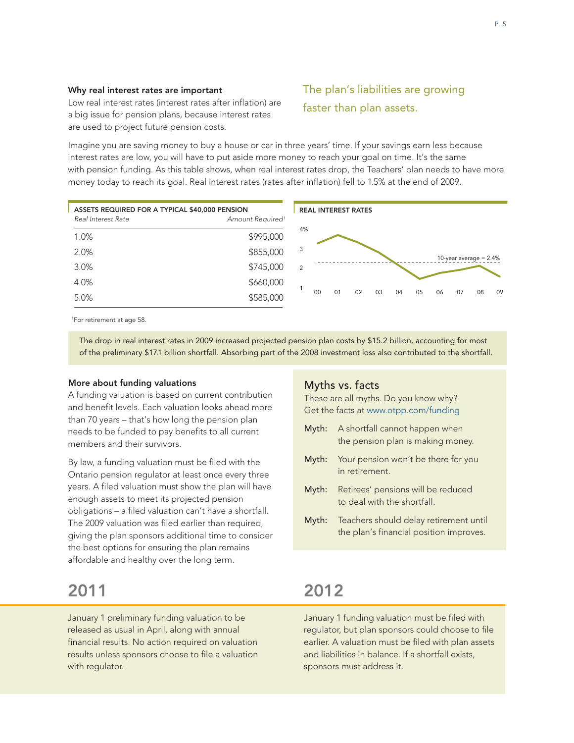### Why real interest rates are important

Low real interest rates (interest rates after inflation) are a big issue for pension plans, because interest rates are used to project future pension costs.

### The plan's liabilities are growing faster than plan assets.

Imagine you are saving money to buy a house or car in three years' time. If your savings earn less because interest rates are low, you will have to put aside more money to reach your goal on time. It's the same with pension funding. As this table shows, when real interest rates drop, the Teachers' plan needs to have more money today to reach its goal. Real interest rates (rates after inflation) fell to 1.5% at the end of 2009.



<sup>1</sup>For retirement at age 58.

The drop in real interest rates in 2009 increased projected pension plan costs by \$15.2 billion, accounting for most of the preliminary \$17.1 billion shortfall. Absorbing part of the 2008 investment loss also contributed to the shortfall.

#### More about funding valuations

A funding valuation is based on current contribution and benefit levels. Each valuation looks ahead more than 70 years – that's how long the pension plan needs to be funded to pay benefits to all current members and their survivors.

By law, a funding valuation must be filed with the Ontario pension regulator at least once every three years. A filed valuation must show the plan will have enough assets to meet its projected pension obligations – a filed valuation can't have a shortfall. The 2009 valuation was filed earlier than required, giving the plan sponsors additional time to consider the best options for ensuring the plan remains affordable and healthy over the long term.

## 2011

January 1 preliminary funding valuation to be released as usual in April, along with annual financial results. No action required on valuation results unless sponsors choose to file a valuation with regulator.

### Myths vs. facts

These are all myths. Do you know why? Get the facts at www.otpp.com/funding

- Myth: A shortfall cannot happen when the pension plan is making money.
- Myth: Your pension won't be there for you in retirement.
- Myth: Retirees' pensions will be reduced to deal with the shortfall.
- Myth: Teachers should delay retirement until the plan's financial position improves.

## 2012

January 1 funding valuation must be filed with regulator, but plan sponsors could choose to file earlier. A valuation must be filed with plan assets and liabilities in balance. If a shortfall exists, sponsors must address it.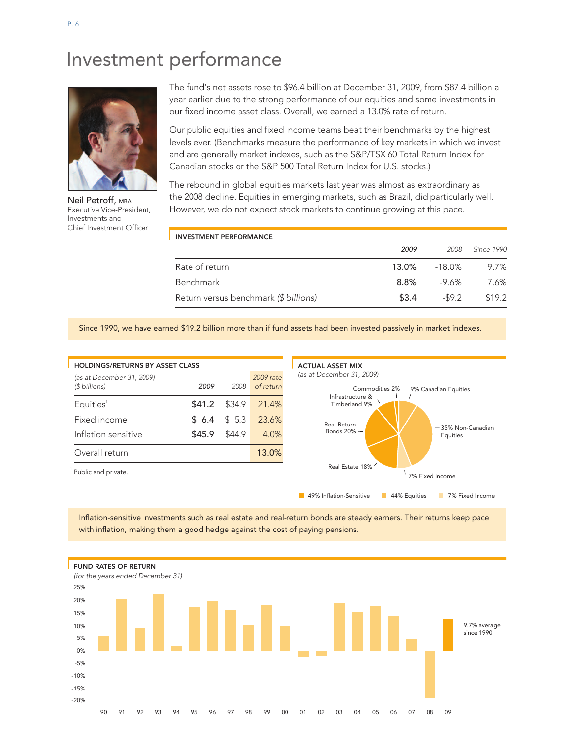## Investment performance



Neil Petroff, MBA Executive Vice-President, Investments and Chief Investment Officer

The fund's net assets rose to \$96.4 billion at December 31, 2009, from \$87.4 billion a year earlier due to the strong performance of our equities and some investments in our fixed income asset class. Overall, we earned a 13.0% rate of return.

Our public equities and fixed income teams beat their benchmarks by the highest levels ever. (Benchmarks measure the performance of key markets in which we invest and are generally market indexes, such as the S&P/TSX 60 Total Return Index for Canadian stocks or the S&P 500 Total Return Index for U.S. stocks.)

The rebound in global equities markets last year was almost as extraordinary as the 2008 decline. Equities in emerging markets, such as Brazil, did particularly well. However, we do not expect stock markets to continue growing at this pace.

| <b>INVESTMENT PERFORMANCE</b>         |       |         |            |
|---------------------------------------|-------|---------|------------|
|                                       | 2009  | 2008    | Since 1990 |
| Rate of return                        | 13.0% | -18.0%  | 9.7%       |
| Benchmark                             | 8.8%  | -9.6%   | 7.6%       |
| Return versus benchmark (\$ billions) | \$3.4 | $-59.2$ | \$19.2     |

Since 1990, we have earned \$19.2 billion more than if fund assets had been invested passively in market indexes.



Inflation-sensitive investments such as real estate and real-return bonds are steady earners. Their returns keep pace with inflation, making them a good hedge against the cost of paying pensions.

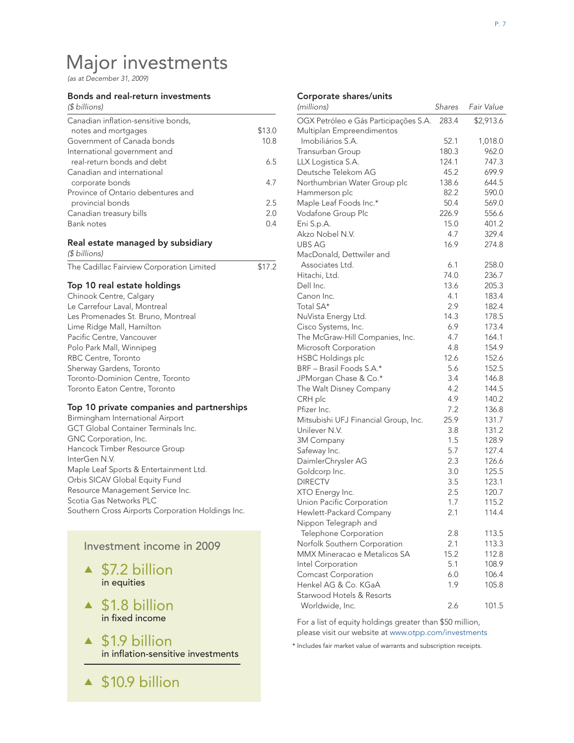## Major investments

*(as at December 31, 2009)*

#### Bonds and real-return investments

| (\$ billions)                       |        |
|-------------------------------------|--------|
| Canadian inflation-sensitive bonds, |        |
| notes and mortgages                 | \$13.0 |
| Government of Canada bonds          | 10.8   |
| International government and        |        |
| real-return bonds and debt          | 6.5    |
| Canadian and international          |        |
| corporate bonds                     | 47     |
| Province of Ontario debentures and  |        |
| provincial bonds                    | 2.5    |
| Canadian treasury bills             | 20     |
| Bank notes                          | 04     |

### Real estate managed by subsidiary

*(\$ billions)*

| \$17.2<br>The Cadillac Fairview Corporation Limited |
|-----------------------------------------------------|
|-----------------------------------------------------|

### Top 10 real estate holdings

### Top 10 private companies and partnerships

| Birmingham International Airport                  |
|---------------------------------------------------|
| <b>GCT Global Container Terminals Inc.</b>        |
| GNC Corporation, Inc.                             |
| Hancock Timber Resource Group                     |
| InterGen N.V.                                     |
| Maple Leaf Sports & Entertainment Ltd.            |
| Orbis SICAV Global Equity Fund                    |
| Resource Management Service Inc.                  |
| Scotia Gas Networks PLC                           |
| Southern Cross Airports Corporation Holdings Inc. |

### Investment income in 2009

- **▲** \$7.2 billion in equities
- **▲** \$1.8 billion in fixed income
- **▲** \$1.9 billion in inflation-sensitive investments
- **▲** \$10.9 billion

#### Corporate shares/units

| (millions)                            | Shares | Fair Value |
|---------------------------------------|--------|------------|
| OGX Petróleo e Gás Participações S.A. | 283.4  | \$2,913.6  |
| Multiplan Empreendimentos             |        |            |
| Imobiliários S.A.                     | 52.1   | 1,018.0    |
| Transurban Group                      | 180.3  | 962.0      |
| LLX Logistica S.A.                    | 124.1  | 747.3      |
| Deutsche Telekom AG                   | 45.2   | 699.9      |
| Northumbrian Water Group plc          | 138.6  | 644.5      |
| Hammerson plc                         | 82.2   | 590.0      |
| Maple Leaf Foods Inc.*                | 50.4   | 569.0      |
| Vodafone Group Plc                    | 226.9  | 556.6      |
| Eni S.p.A.                            | 15.0   | 401.2      |
| Akzo Nobel N.V.                       | 4.7    | 329.4      |
| <b>UBS AG</b>                         | 16.9   | 274.8      |
| MacDonald, Dettwiler and              |        |            |
| Associates Ltd.                       | 6.1    | 258.0      |
| Hitachi, Ltd.                         | 74.0   | 236.7      |
| Dell Inc.                             | 13.6   | 205.3      |
| Canon Inc.                            | 4.1    | 183.4      |
| Total SA*                             | 2.9    | 182.4      |
| NuVista Energy Ltd.                   | 14.3   | 178.5      |
| Cisco Systems, Inc.                   | 6.9    | 173.4      |
| The McGraw-Hill Companies, Inc.       | 4.7    | 164.1      |
| Microsoft Corporation                 | 4.8    | 154.9      |
| <b>HSBC Holdings plc</b>              | 12.6   | 152.6      |
| BRF - Brasil Foods S.A.*              | 5.6    | 152.5      |
| JPMorgan Chase & Co.*                 | 3.4    | 146.8      |
| The Walt Disney Company               | 4.2    | 144.5      |
| CRH plc                               | 4.9    | 140.2      |
| Pfizer Inc.                           | 7.2    | 136.8      |
| Mitsubishi UFJ Financial Group, Inc.  | 25.9   | 131.7      |
| Unilever N.V.                         | 3.8    | 131.2      |
| 3M Company                            | 1.5    | 128.9      |
| Safeway Inc.                          | 5.7    | 127.4      |
| DaimlerChrysler AG                    | 2.3    | 126.6      |
| Goldcorp Inc.                         | 3.0    | 125.5      |
| <b>DIRECTV</b>                        | 3.5    | 123.1      |
| XTO Energy Inc.                       | 2.5    | 120.7      |
| Union Pacific Corporation             | 1.7    | 115.2      |
| Hewlett-Packard Company               | 2.1    | 114.4      |
| Nippon Telegraph and                  |        |            |
| Telephone Corporation                 | 2.8    | 113.5      |
| Norfolk Southern Corporation          | 2.1    | 113.3      |
| MMX Mineracao e Metalicos SA          | 15.2   | 112.8      |
| Intel Corporation                     | 5.1    | 108.9      |
| Comcast Corporation                   | 6.0    | 106.4      |
| Henkel AG & Co. KGaA                  | 1.9    | 105.8      |
| Starwood Hotels & Resorts             |        |            |
| Worldwide, Inc.                       | 2.6    | 101.5      |

For a list of equity holdings greater than \$50 million, please visit our website at www.otpp.com/investments

\* Includes fair market value of warrants and subscription receipts.